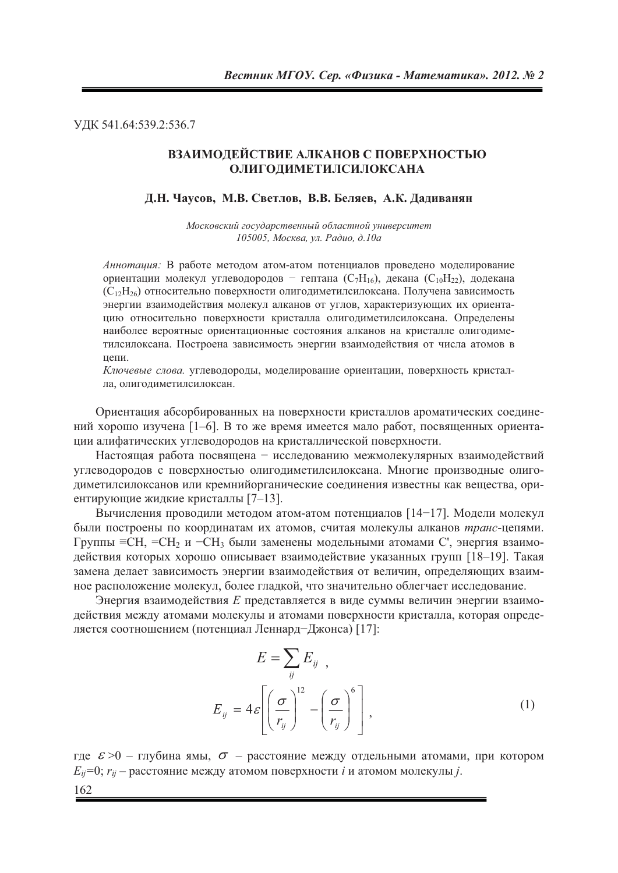УДК 541.64:539.2:536.7

# ВЗАИМОДЕЙСТВИЕ АЛКАНОВ С ПОВЕРХНОСТЬЮ ОЛИГОДИМЕТИЛСИЛОКСАНА

#### Д.Н. Чаусов, М.В. Светлов, В.В. Беляев, А.К. Дадиванян

Московский государственный областной университет 105005, Москва, ул. Радио, д.10а

Аннотация: В работе методом атом-атом потенциалов проведено моделирование ориентации молекул углеводородов - гептана  $(C_7H_{16})$ , декана  $(C_{10}H_{22})$ , додекана (С<sub>12</sub>Н<sub>26</sub>) относительно поверхности олиголиметилсилоксана. Получена зависимость энергии взаимодействия молекул алканов от углов, характеризующих их ориентацию относительно поверхности кристалла олиголиметилсилоксана. Определены наиболее вероятные ориентационные состояния алканов на кристалле олигодиметилсилоксана. Построена зависимость энергии взаимодействия от числа атомов в цепи.

Ключевые слова. углеводороды, моделирование ориентации, поверхность кристалла, олигодиметилсилоксан.

Ориентация абсорбированных на поверхности кристаллов ароматических соединений хорошо изучена [1-6]. В то же время имеется мало работ, посвященных ориентации алифатических углеводородов на кристаллической поверхности.

Настоящая работа посвящена - исследованию межмолекулярных взаимодействий углеводородов с поверхностью олигодиметилсилоксана. Многие производные олигодиметилсилоксанов или кремнийорганические соединения известны как вещества, ориентирующие жидкие кристаллы [7-13].

Вычисления проводили методом атом-атом потенциалов [14-17]. Модели молекул были построены по координатам их атомов, считая молекулы алканов транс-цепями.  $\Gamma$ руппы  $\equiv$ CH,  $\equiv$ CH<sub>2</sub> и  $\sim$ CH<sub>3</sub> были заменены модельными атомами C', энергия взаимодействия которых хорошо описывает взаимодействие указанных групп [18-19]. Такая замена делает зависимость энергии взаимодействия от величин, определяющих взаимное расположение молекул, более гладкой, что значительно облегчает исследование.

Энергия взаимодействия Е представляется в виде суммы величин энергии взаимодействия между атомами молекулы и атомами поверхности кристалла, которая определяется соотношением (потенциал Леннард-Джонса) [17]:

$$
E = \sum_{ij} E_{ij} ,
$$
  

$$
E_{ij} = 4\varepsilon \left[ \left( \frac{\sigma}{r_{ij}} \right)^{12} - \left( \frac{\sigma}{r_{ij}} \right)^{6} \right],
$$
 (1)

где  $\varepsilon > 0$  – глубина ямы,  $\sigma$  – расстояние между отдельными атомами, при котором  $E_{ii}$ =0;  $r_{ii}$  – расстояние между атомом поверхности *i* и атомом молекулы *j*. 162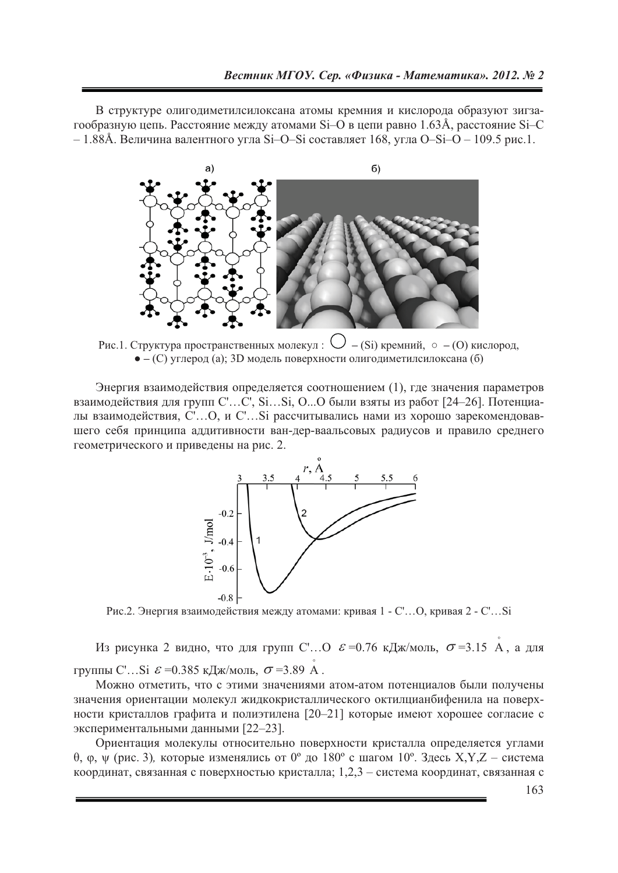В структуре олиголиметилсилоксана атомы кремния и кислорода образуют зигзагообразную цепь. Расстояние между атомами Si-O в цепи равно 1.63Å, расстояние Si-C  $-1.88$ Å. Величина валентного угла Si-O-Si составляет 168, угла O-Si-O – 109.5 рис.1.



Рис.1. Структура пространственных молекул:  $\bigcup$  – (Si) кремний,  $\circ$  – (O) кислород,  $\bullet$  - (C) углерод (а); 3D модель поверхности олигодиметилсилоксана (б)

Энергия взаимодействия определяется соотношением (1), где значения параметров взаимодействия для групп C'...C', Si...Si, O...O были взяты из работ [24-26]. Потенциалы взаимодействия, C'...O, и C'...Si рассчитывались нами из хорошо зарекомендовавшего себя принципа аддитивности ван-дер-ваальсовых радиусов и правило среднего геометрического и приведены на рис. 2.



Рис.2. Энергия взаимодействия между атомами: кривая 1 - С'...О, кривая 2 - С'...Si

Из рисунка 2 видно, что для групп С'... О  $\varepsilon$  =0.76 кДж/моль,  $\sigma$  =3.15 А, а для группы С'...Si  $\mathcal{E} = 0.385 \text{ kJm/mol}$ ,  $\sigma = 3.89 \text{ A}$ .

Можно отметить, что с этими значениями атом-атом потенциалов были получены значения ориентации молекул жидкокристаллического октилцианбифенила на поверхности кристаллов графита и полиэтилена [20-21] которые имеют хорошее согласие с экспериментальными данными [22-23].

Ориентация молекулы относительно поверхности кристалла определяется углами  $\theta$ , ф,  $\psi$  (рис. 3), которые изменялись от 0° до 180° с шагом 10°. Здесь X,Y,Z - система координат, связанная с поверхностью кристалла;  $1,2,3$  – система координат, связанная с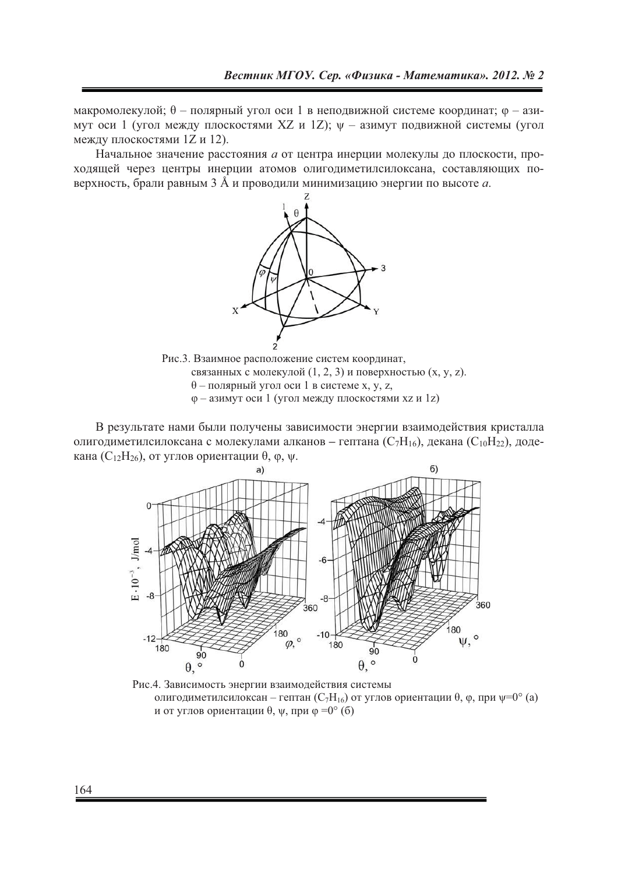макромолекулой;  $\theta$  – полярный угол оси 1 в неподвижной системе координат;  $\varphi$  – азимут оси 1 (угол между плоскостями XZ и 1Z);  $\psi$  - азимут подвижной системы (угол между плоскостями 1Z и 12).

Начальное значение расстояния а от центра инерции молекулы до плоскости, проходящей через центры инерции атомов олигодиметилсилоксана, составляющих поверхность, брали равным 3 Å и проводили минимизацию энергии по высоте а.



Рис.3. Взаимное расположение систем координат. связанных с молекулой (1, 2, 3) и поверхностью (х, у, z).  $\theta$  – полярный угол оси 1 в системе x, y, z, ф - азимут оси 1 (угол между плоскостями хz и 1z)

В результате нами были получены зависимости энергии взаимодействия кристалла олигодиметилсилоксана с молекулами алканов – гептана ( $C_7H_{16}$ ), декана ( $C_{10}H_{22}$ ), додекана ( $C_{12}H_{26}$ ), от углов ориентации  $\theta$ ,  $\varphi$ ,  $\psi$ .



Рис.4. Зависимость энергии взаимодействия системы олигодиметилсилоксан – гептан ( $C_7H_{16}$ ) от углов ориентации  $\theta$ ,  $\varphi$ , при  $\psi=0^\circ$  (a) и от углов ориентации  $\theta$ ,  $\psi$ , при  $\varphi = 0^{\circ}$  (б)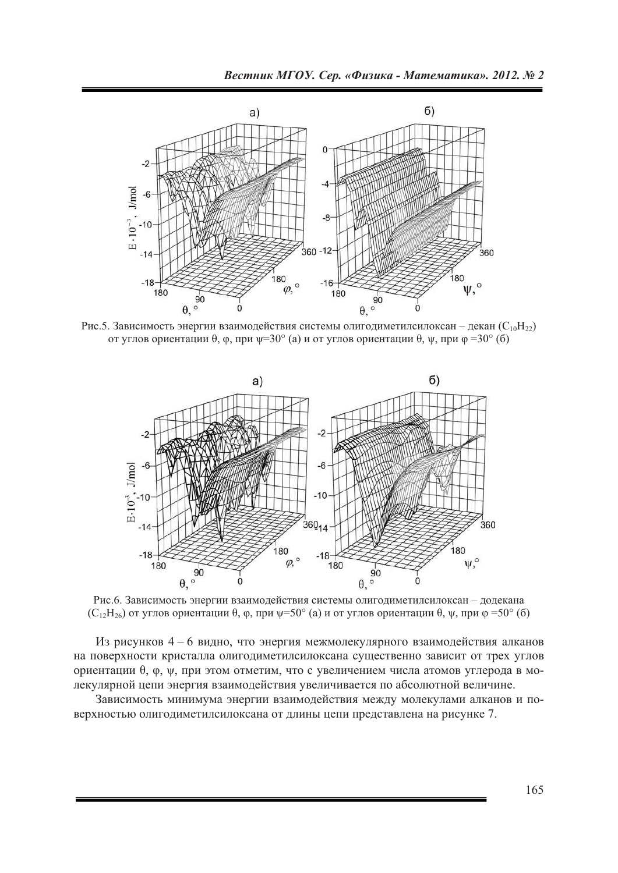

Рис. 5. Зависимость энергии взаимодействия системы олигодиметилсилоксан – декан ( $C_{10}H_{22}$ ) от углов ориентации  $\theta$ ,  $\varphi$ , при  $\psi = 30^{\circ}$  (a) и от углов ориентации  $\theta$ ,  $\psi$ , при  $\varphi = 30^{\circ}$  (б)



Рис.6. Зависимость энергии взаимодействия системы олигодиметилсилоксан - додекана  $(C_{12}H_{26})$  от углов ориентации  $\theta$ ,  $\varphi$ , при  $\psi$ =50° (а) и от углов ориентации  $\theta$ ,  $\psi$ , при  $\varphi$ =50° (б)

Из рисунков 4 – 6 видно, что энергия межмолекулярного взаимодействия алканов на поверхности кристалла олигодиметилсилоксана существенно зависит от трех углов ориентации  $\theta$ ,  $\varphi$ ,  $\psi$ , при этом отметим, что с увеличением числа атомов углерода в молекулярной цепи энергия взаимодействия увеличивается по абсолютной величине.

Зависимость минимума энергии взаимодействия между молекулами алканов и поверхностью олигодиметилсилоксана от длины цепи представлена на рисунке 7.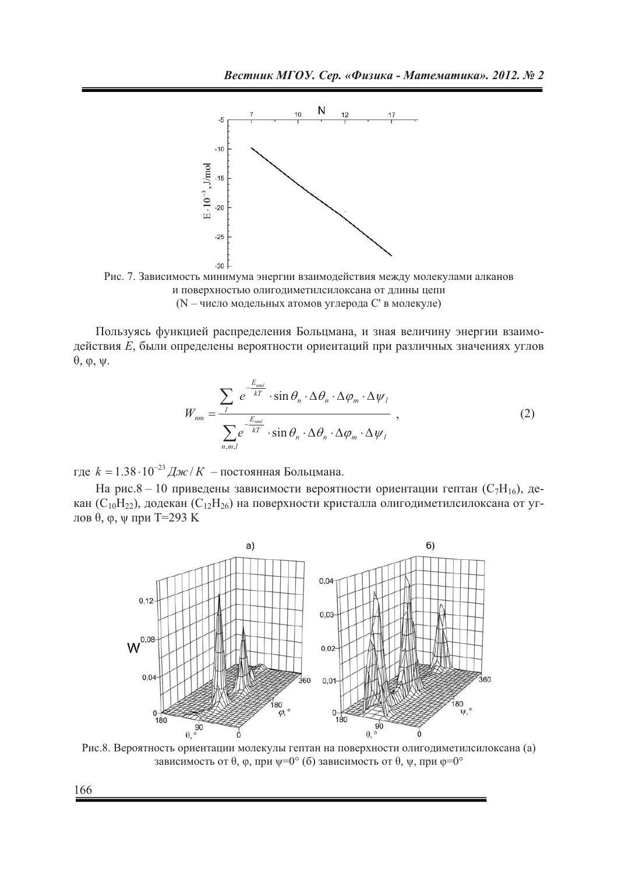

Рис. 7. Зависимость минимума энергии взаимодействия между молекулами алканов и поверхностью олигодиметилсилоксана от длины цепи (N - число модельных атомов углерода С' в молекуле)

Пользуясь функцией распределения Больцмана, и зная величину энергии взаимодействия Е, были определены вероятности ориентаций при различных значениях углов  $\theta$ ,  $\varphi$ ,  $\psi$ .

$$
W_{nm} = \frac{\sum_{l} e^{-\frac{E_{nml}}{kT}} \cdot \sin \theta_n \cdot \Delta \theta_n \cdot \Delta \varphi_m \cdot \Delta \psi_l}{\sum_{n,m,l} e^{-\frac{E_{nml}}{kT}} \cdot \sin \theta_n \cdot \Delta \theta_n \cdot \Delta \varphi_m \cdot \Delta \psi_l},
$$
(2)

где  $k = 1.38 \cdot 10^{-23}$  Дж / К – постоянная Больцмана.

На рис.8 - 10 приведены зависимости вероятности ориентации гептан ( $C_7H_{16}$ ), декан (C<sub>10</sub>H<sub>22</sub>), додекан (C<sub>12</sub>H<sub>26</sub>) на поверхности кристалла олигодиметилсилоксана от углов  $\theta$ ,  $\varphi$ ,  $\psi$  при Т=293 К



Рис.8. Вероятность ориентации молекулы гептан на поверхности олигодиметилсилоксана (а) зависимость от  $\theta$ ,  $\varphi$ , при  $\psi = 0^{\circ}$  (б) зависимость от  $\theta$ ,  $\psi$ , при  $\varphi = 0^{\circ}$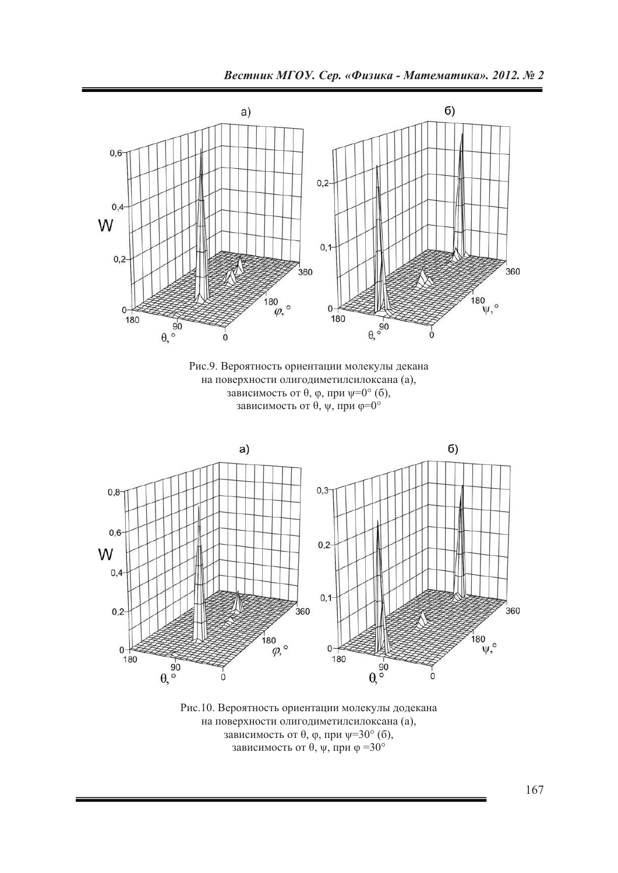



Рис.10. Вероятность ориентации молекулы додекана на поверхности олигодиметилсилоксана (а), зависимость от  $\theta$ ,  $\varphi$ , при  $\psi = 30^{\circ}$  (б), зависимость от  $\theta$ ,  $\psi$ , при  $\phi = 30^{\circ}$ 

167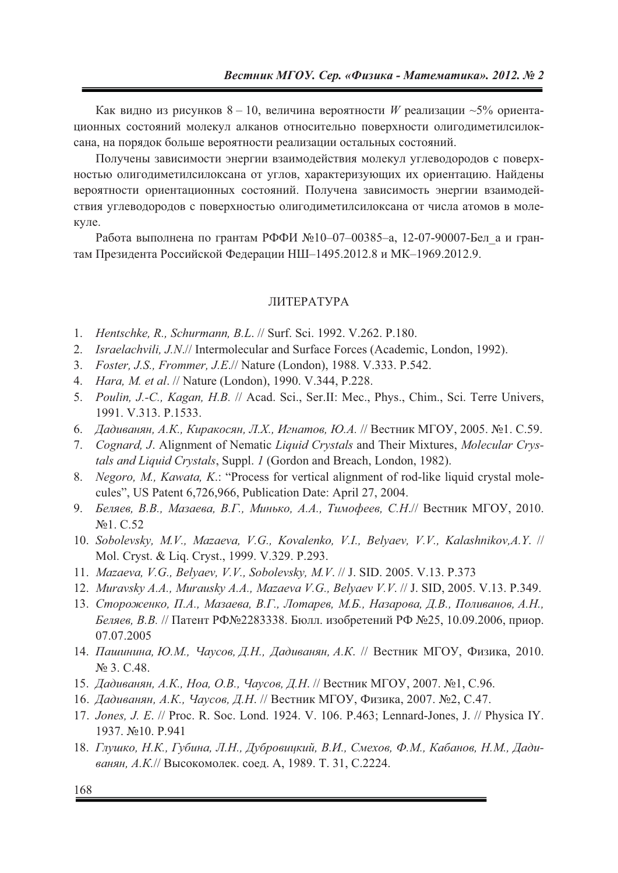Как видно из рисунков  $8-10$ , величина вероятности *W* реализации ~5% ориентационных состояний молекул алканов относительно поверхности олигодиметилсилоксана, на порядок больше вероятности реализации остальных состояний.

Получены зависимости энергии взаимодействия молекул углеводородов с поверхностью олигодиметилсилоксана от углов, характеризующих их ориентацию. Найдены вероятности ориентационных состояний. Получена зависимость энергии взаимодействия углеводородов с поверхностью олигодиметилсилоксана от числа атомов в молекуле.

Работа выполнена по грантам РФФИ №10-07-00385-а, 12-07-90007-Бел\_а и грантам Президента Российской Федерации НШ-1495.2012.8 и МК-1969.2012.9.

# ЛИТЕРАТУРА

- 1. *Hentschke, R., Schurmann, B.L*. // Surf. Sci. 1992. V.262. P.180.
- 2. *Israelachvili, J.N*.// Intermolecular and Surface Forces (Academic, London, 1992).
- 3. *Foster, J.S., Frommer, J.E*.// Nature (London), 1988. V.333. P.542.
- 4. *Hara, M. et al*. // Nature (London), 1990. V.344, P.228.
- 5. *Poulin, J.-C., Kagan, H.B.* // Acad. Sci., Ser.II: Mec., Phys., Chim., Sci. Terre Univers, 1991. V.313. P.1533.
- 6. *Дадиванян, А.К., Киракосян, Л.Х., Игнатов, Ю.А. //* Вестник МГОУ, 2005. №1. С.59.
- 7. *Cognard, J*. Alignment of Nematic *Liquid Crystals* and Their Mixtures, *Molecular Crystals and Liquid Crystals*, Suppl. *1* (Gordon and Breach, London, 1982).
- 8. *Negoro, M., Kawata, K*.: "Process for vertical alignment of rod-like liquid crystal molecules", US Patent 6,726,966, Publication Date: April 27, 2004.
- 9. *Беляев, В.В., Мазаева, В.Г., Минько, А.А., Тимофеев, С.Н.// Вестник МГОУ, 2010.* No<sub>1</sub>. C.52
- 10. *Sobolevsky, M.V., Mazaeva, V.G., Kovalenko, V.I., Belyaev, V.V., Kalashnikov,A.Y*. // Mol. Cryst. & Liq. Cryst., 1999. V.329. P.293.
- 11. *Mazaeva, V.G., Belyaev, V.V., Sobolevsky, M.V*. // J. SID. 2005. V.13. P.373
- 12. *Muravsky A.A., Murausky A.A., Mazaeva V.G., Belyaev V.V*. // J. SID, 2005. V.13. P.349.
- 13. Стороженко, П.А., Мазаева, В.Г., Лотарев, М.Б., Назарова, Д.В., Поливанов, А.Н., *Беляев, В.В. // Патент РФ№2283338. Бюлл. изобретений РФ №25, 10.09.2006, приор.* 07.07.2005
- 14. Пашинина, Ю.М., Чаусов, Д.Н., Дадиванян, А.К. // Вестник МГОУ, Физика, 2010.  $N<sup>o</sup>$  3. C.48.
- 15. Дадиванян, А.К., Ноа, О.В., Чаусов, Д.Н. // Вестник МГОУ, 2007. №1, С.96.
- 16. Дадиванян, А.К., Чаусов, Д.Н. // Вестник МГОУ, Физика, 2007. №2, С.47.
- 17. *Jones, J. E. // Proc. R. Soc. Lond.* 1924. V. 106. P.463; Lennard-Jones, J. // Physica IY. 1937. No<sub>10. P.941</sub>
- 18. Глушко, Н.К., Губина, Л.Н., Дубровицкий, В.И., Смехов, Ф.М., Кабанов, Н.М., Дадиванян, А.К.// Высокомолек. соед. А, 1989. Т. 31, С.2224.